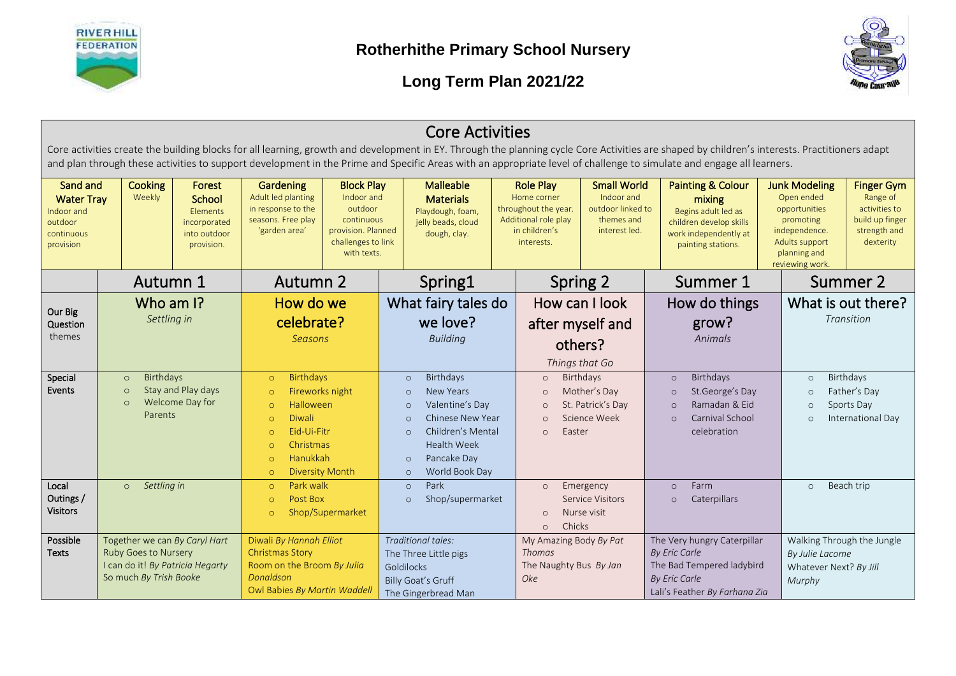



|                                                                                                                                                        |                                                                                                                                                                                                                                                                                                                                                                       |                                                                                                                                                                                        |                                                                                              |                                                                                                                     |                                                                                                                                                  | <b>Core Activities</b>                                                                         |                                                                          |                                                                                                                |                                                                                      |                                                                                           |                                                                                                                                         |                                                                                   |                                                                                                                                        |                                                                                                |
|--------------------------------------------------------------------------------------------------------------------------------------------------------|-----------------------------------------------------------------------------------------------------------------------------------------------------------------------------------------------------------------------------------------------------------------------------------------------------------------------------------------------------------------------|----------------------------------------------------------------------------------------------------------------------------------------------------------------------------------------|----------------------------------------------------------------------------------------------|---------------------------------------------------------------------------------------------------------------------|--------------------------------------------------------------------------------------------------------------------------------------------------|------------------------------------------------------------------------------------------------|--------------------------------------------------------------------------|----------------------------------------------------------------------------------------------------------------|--------------------------------------------------------------------------------------|-------------------------------------------------------------------------------------------|-----------------------------------------------------------------------------------------------------------------------------------------|-----------------------------------------------------------------------------------|----------------------------------------------------------------------------------------------------------------------------------------|------------------------------------------------------------------------------------------------|
|                                                                                                                                                        | Core activities create the building blocks for all learning, growth and development in EY. Through the planning cycle Core Activities are shaped by children's interests. Practitioners adapt<br>and plan through these activities to support development in the Prime and Specific Areas with an appropriate level of challenge to simulate and engage all learners. |                                                                                                                                                                                        |                                                                                              |                                                                                                                     |                                                                                                                                                  |                                                                                                |                                                                          |                                                                                                                |                                                                                      |                                                                                           |                                                                                                                                         |                                                                                   |                                                                                                                                        |                                                                                                |
| Sand and<br><b>Water Tray</b><br>Indoor and<br>outdoor<br>continuous<br>provision                                                                      | <b>Cooking</b><br>Weekly                                                                                                                                                                                                                                                                                                                                              | Forest<br>School<br>Elements<br>incorporated<br>into outdoor<br>provision.                                                                                                             | Gardening<br>Adult led planting<br>in response to the<br>seasons. Free play<br>'garden area' | <b>Block Play</b><br>Indoor and<br>outdoor<br>continuous<br>provision. Planned<br>challenges to link<br>with texts. |                                                                                                                                                  | <b>Malleable</b><br><b>Materials</b><br>Playdough, foam,<br>jelly beads, cloud<br>dough, clay. |                                                                          | <b>Role Play</b><br>Home corner<br>throughout the year.<br>Additional role play<br>in children's<br>interests. | <b>Small World</b><br>Indoor and<br>outdoor linked to<br>themes and<br>interest led. |                                                                                           | <b>Painting &amp; Colour</b><br>mixing<br>Begins adult led as<br>children develop skills<br>work independently at<br>painting stations. |                                                                                   | <b>Junk Modeling</b><br>Open ended<br>opportunities<br>promoting<br>independence.<br>Adults support<br>planning and<br>reviewing work. | <b>Finger Gym</b><br>Range of<br>activities to<br>build up finger<br>strength and<br>dexterity |
|                                                                                                                                                        | Autumn 1                                                                                                                                                                                                                                                                                                                                                              |                                                                                                                                                                                        | <b>Autumn 2</b>                                                                              |                                                                                                                     | Spring1                                                                                                                                          |                                                                                                | Spring 2                                                                 |                                                                                                                |                                                                                      | Summer 1                                                                                  |                                                                                                                                         |                                                                                   | Summer 2                                                                                                                               |                                                                                                |
| Our Big<br>Question<br>themes                                                                                                                          | Who am I?<br>Settling in                                                                                                                                                                                                                                                                                                                                              |                                                                                                                                                                                        | How do we<br>celebrate?<br><b>Seasons</b>                                                    |                                                                                                                     |                                                                                                                                                  | What fairy tales do<br>we love?<br><b>Building</b>                                             |                                                                          |                                                                                                                | How can I look<br>after myself and<br>others?<br>Things that Go                      |                                                                                           | How do things<br>grow?<br>Animals                                                                                                       |                                                                                   | What is out there?                                                                                                                     | Transition                                                                                     |
| Special<br><b>Birthdays</b><br>$\circ$<br>Stay and Play days<br>Events<br>$\circ$<br>Welcome Day for<br>$\Omega$<br>Parents                            |                                                                                                                                                                                                                                                                                                                                                                       | <b>Birthdays</b><br>$\circ$<br>$\circ$<br><b>Halloween</b><br>$\circ$<br><b>Diwali</b><br>$\circ$<br>Eid-Ui-Fitr<br>$\circ$<br>Christmas<br>$\Omega$<br>Hanukkah<br>$\circ$<br>$\circ$ | Fireworks night<br><b>Diversity Month</b>                                                    | $\circ$<br>$\circ$<br>$\circ$<br>$\circ$<br>$\circ$<br>$\circ$<br>$\circ$                                           | Birthdays<br><b>New Years</b><br>Valentine's Day<br>Chinese New Year<br>Children's Mental<br><b>Health Week</b><br>Pancake Day<br>World Book Day |                                                                                                | $\circ$<br>$\circ$<br>$\circ$<br>$\Omega$<br>Easter<br>$\Omega$          | Birthdays<br>Mother's Day<br>St. Patrick's Day<br>Science Week                                                 | $\circ$<br>$\circ$<br>$\circ$<br>$\circ$                                             | Birthdays<br>St.George's Day<br>Ramadan & Eid<br>Carnival School<br>celebration           |                                                                                                                                         | $\circ$<br>$\circ$<br>$\circ$<br>$\circ$                                          | Birthdays<br>Father's Day<br>Sports Day<br>International Day                                                                           |                                                                                                |
| Local<br>Outings /<br><b>Visitors</b>                                                                                                                  | Settling in<br>$\circ$                                                                                                                                                                                                                                                                                                                                                |                                                                                                                                                                                        | Park walk<br>$\circ$<br>Post Box<br>$\circ$<br>$\circ$                                       | Shop/Supermarket                                                                                                    | $\circ$<br>$\circ$                                                                                                                               | Park<br>Shop/supermarket                                                                       |                                                                          | $\circ$<br>$\circ$<br>Chicks<br>$\circ$                                                                        | Emergency<br><b>Service Visitors</b><br>Nurse visit                                  | $\circ$<br>$\circ$                                                                        | Farm<br>Caterpillars                                                                                                                    |                                                                                   | $\circ$                                                                                                                                | Beach trip                                                                                     |
| Possible<br>Together we can By Caryl Hart<br><b>Ruby Goes to Nursery</b><br><b>Texts</b><br>I can do it! By Patricia Hegarty<br>So much By Trish Booke |                                                                                                                                                                                                                                                                                                                                                                       | Diwali By Hannah Elliot<br><b>Christmas Story</b><br>Room on the Broom By Julia<br>Donaldson<br>Owl Babies By Martin Waddell                                                           |                                                                                              | Goldilocks                                                                                                          | Traditional tales:<br>The Three Little pigs<br><b>Billy Goat's Gruff</b><br>The Gingerbread Man                                                  |                                                                                                | My Amazing Body By Pat<br><b>Thomas</b><br>The Naughty Bus By Jan<br>Oke |                                                                                                                | <b>By Eric Carle</b><br><b>By Eric Carle</b>                                         | The Very hungry Caterpillar<br>The Bad Tempered ladybird<br>Lali's Feather By Farhana Zia |                                                                                                                                         | Walking Through the Jungle<br>By Julie Lacome<br>Whatever Next? By Jill<br>Murphy |                                                                                                                                        |                                                                                                |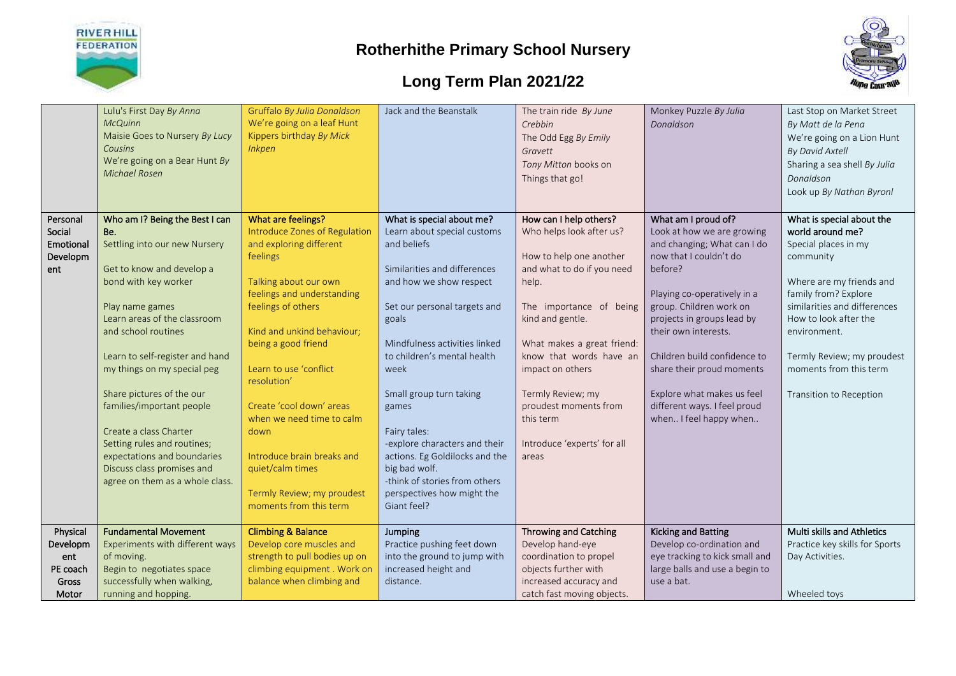



|           | Lulu's First Day By Anna<br><b>McQuinn</b> | Gruffalo By Julia Donaldson<br>We're going on a leaf Hunt | Jack and the Beanstalk                    | The train ride By June<br>Crebbin | Monkey Puzzle By Julia<br>Donaldson | Last Stop on Market Street<br>By Matt de la Pena |
|-----------|--------------------------------------------|-----------------------------------------------------------|-------------------------------------------|-----------------------------------|-------------------------------------|--------------------------------------------------|
|           | Maisie Goes to Nursery By Lucy             | Kippers birthday By Mick                                  |                                           | The Odd Egg By Emily              |                                     | We're going on a Lion Hunt                       |
|           | Cousins                                    | <b>Inkpen</b>                                             |                                           |                                   |                                     |                                                  |
|           | We're going on a Bear Hunt By              |                                                           |                                           | Gravett                           |                                     | <b>By David Axtell</b>                           |
|           | <b>Michael Rosen</b>                       |                                                           |                                           | Tony Mitton books on              |                                     | Sharing a sea shell By Julia                     |
|           |                                            |                                                           |                                           | Things that go!                   |                                     | Donaldson                                        |
|           |                                            |                                                           |                                           |                                   |                                     | Look up By Nathan Byronl                         |
|           |                                            |                                                           |                                           |                                   |                                     |                                                  |
| Personal  | Who am I? Being the Best I can             | What are feelings?                                        | What is special about me?                 | How can I help others?            | What am I proud of?                 | What is special about the                        |
| Social    | Be.                                        | Introduce Zones of Regulation                             | Learn about special customs               | Who helps look after us?          | Look at how we are growing          | world around me?                                 |
| Emotional | Settling into our new Nursery              | and exploring different                                   | and beliefs                               |                                   | and changing; What can I do         | Special places in my                             |
| Developm  |                                            | feelings                                                  |                                           | How to help one another           | now that I couldn't do              | community                                        |
| ent       | Get to know and develop a                  |                                                           | Similarities and differences              | and what to do if you need        | before?                             |                                                  |
|           | bond with key worker                       | Talking about our own                                     | and how we show respect                   | help.                             |                                     | Where are my friends and                         |
|           |                                            | feelings and understanding                                |                                           |                                   | Playing co-operatively in a         | family from? Explore                             |
|           | Play name games                            | feelings of others                                        | Set our personal targets and              | The importance of being           | group. Children work on             | similarities and differences                     |
|           | Learn areas of the classroom               |                                                           | goals                                     | kind and gentle.                  | projects in groups lead by          | How to look after the                            |
|           | and school routines                        | Kind and unkind behaviour;                                |                                           |                                   | their own interests.                | environment.                                     |
|           |                                            | being a good friend                                       | Mindfulness activities linked             | What makes a great friend:        |                                     |                                                  |
|           | Learn to self-register and hand            |                                                           | to children's mental health               | know that words have an           | Children build confidence to        | Termly Review; my proudest                       |
|           | my things on my special peg                | Learn to use 'conflict                                    | week                                      | impact on others                  | share their proud moments           | moments from this term                           |
|           |                                            | resolution'                                               |                                           |                                   |                                     |                                                  |
|           | Share pictures of the our                  |                                                           | Small group turn taking                   | Termly Review; my                 | Explore what makes us feel          | Transition to Reception                          |
|           | families/important people                  | Create 'cool down' areas                                  | games                                     | proudest moments from             | different ways. I feel proud        |                                                  |
|           |                                            | when we need time to calm                                 |                                           | this term                         | when I feel happy when              |                                                  |
|           | Create a class Charter                     | down                                                      | Fairy tales:                              |                                   |                                     |                                                  |
|           | Setting rules and routines;                |                                                           | -explore characters and their             | Introduce 'experts' for all       |                                     |                                                  |
|           | expectations and boundaries                | Introduce brain breaks and                                | actions. Eg Goldilocks and the            | areas                             |                                     |                                                  |
|           | Discuss class promises and                 | quiet/calm times                                          | big bad wolf.                             |                                   |                                     |                                                  |
|           | agree on them as a whole class.            |                                                           | -think of stories from others             |                                   |                                     |                                                  |
|           |                                            |                                                           |                                           |                                   |                                     |                                                  |
|           |                                            | Termly Review; my proudest                                | perspectives how might the<br>Giant feel? |                                   |                                     |                                                  |
|           |                                            | moments from this term                                    |                                           |                                   |                                     |                                                  |
| Physical  | <b>Fundamental Movement</b>                | <b>Climbing &amp; Balance</b>                             | Jumping                                   | <b>Throwing and Catching</b>      | <b>Kicking and Batting</b>          | Multi skills and Athletics                       |
| Developm  | Experiments with different ways            | Develop core muscles and                                  | Practice pushing feet down                | Develop hand-eye                  | Develop co-ordination and           | Practice key skills for Sports                   |
| ent       | of moving.                                 | strength to pull bodies up on                             | into the ground to jump with              | coordination to propel            | eye tracking to kick small and      | Day Activities.                                  |
| PE coach  | Begin to negotiates space                  | climbing equipment. Work on                               | increased height and                      | objects further with              | large balls and use a begin to      |                                                  |
| Gross     | successfully when walking,                 | balance when climbing and                                 | distance.                                 | increased accuracy and            | use a bat.                          |                                                  |
|           |                                            |                                                           |                                           |                                   |                                     |                                                  |
| Motor     | running and hopping.                       |                                                           |                                           | catch fast moving objects.        |                                     | Wheeled toys                                     |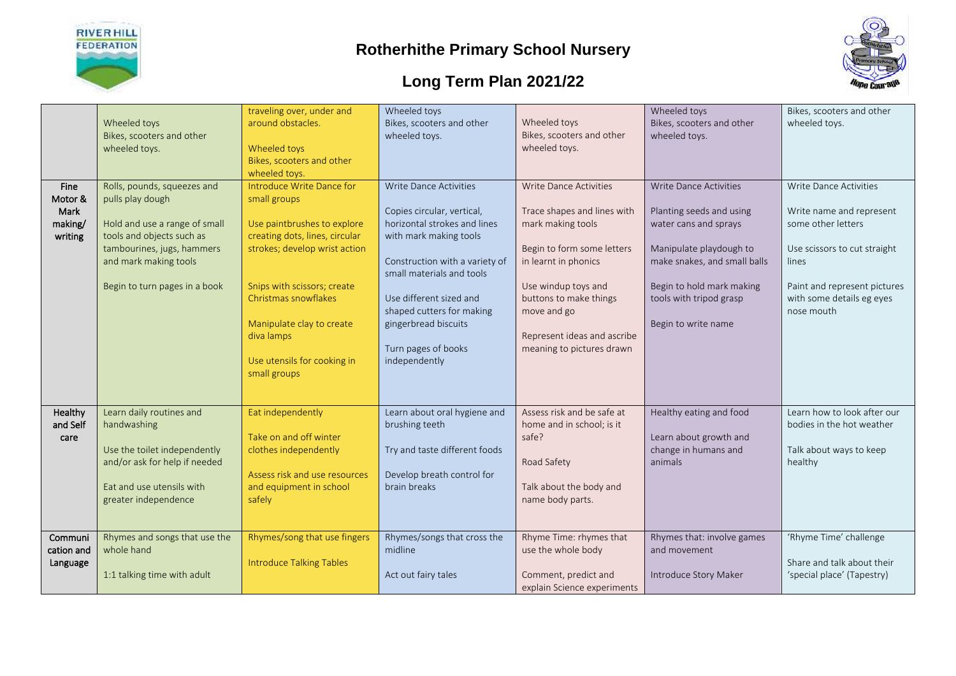



| <b>Fine</b>                           | Wheeled toys<br>Bikes, scooters and other<br>wheeled toys.<br>Rolls, pounds, squeezes and                                                                              | traveling over, under and<br>around obstacles.<br>Wheeled toys<br>Bikes, scooters and other<br>wheeled toys.<br>Introduce Write Dance for                                                                                                                       | Wheeled toys<br>Bikes, scooters and other<br>wheeled toys.<br><b>Write Dance Activities</b>                                                                                                                                                                                 | Wheeled toys<br>Bikes, scooters and other<br>wheeled toys.<br><b>Write Dance Activities</b>                                                                                                                                        | Wheeled toys<br>Bikes, scooters and other<br>wheeled toys.<br><b>Write Dance Activities</b>                                                                                                 | Bikes, scooters and other<br>wheeled toys.<br>Write Dance Activities                                                                                               |
|---------------------------------------|------------------------------------------------------------------------------------------------------------------------------------------------------------------------|-----------------------------------------------------------------------------------------------------------------------------------------------------------------------------------------------------------------------------------------------------------------|-----------------------------------------------------------------------------------------------------------------------------------------------------------------------------------------------------------------------------------------------------------------------------|------------------------------------------------------------------------------------------------------------------------------------------------------------------------------------------------------------------------------------|---------------------------------------------------------------------------------------------------------------------------------------------------------------------------------------------|--------------------------------------------------------------------------------------------------------------------------------------------------------------------|
| Motor &<br>Mark<br>making/<br>writing | pulls play dough<br>Hold and use a range of small<br>tools and objects such as<br>tambourines, jugs, hammers<br>and mark making tools<br>Begin to turn pages in a book | small groups<br>Use paintbrushes to explore<br>creating dots, lines, circular<br>strokes; develop wrist action<br>Snips with scissors; create<br>Christmas snowflakes<br>Manipulate clay to create<br>diva lamps<br>Use utensils for cooking in<br>small groups | Copies circular, vertical,<br>horizontal strokes and lines<br>with mark making tools<br>Construction with a variety of<br>small materials and tools<br>Use different sized and<br>shaped cutters for making<br>gingerbread biscuits<br>Turn pages of books<br>independently | Trace shapes and lines with<br>mark making tools<br>Begin to form some letters<br>in learnt in phonics<br>Use windup toys and<br>buttons to make things<br>move and go<br>Represent ideas and ascribe<br>meaning to pictures drawn | Planting seeds and using<br>water cans and sprays<br>Manipulate playdough to<br>make snakes, and small balls<br>Begin to hold mark making<br>tools with tripod grasp<br>Begin to write name | Write name and represent<br>some other letters<br>Use scissors to cut straight<br>lines<br>Paint and represent pictures<br>with some details eg eyes<br>nose mouth |
| Healthy<br>and Self<br>care           | Learn daily routines and<br>handwashing<br>Use the toilet independently<br>and/or ask for help if needed<br>Eat and use utensils with<br>greater independence          | Eat independently<br>Take on and off winter<br>clothes independently<br>Assess risk and use resources<br>and equipment in school<br>safely                                                                                                                      | Learn about oral hygiene and<br>brushing teeth<br>Try and taste different foods<br>Develop breath control for<br>brain breaks                                                                                                                                               | Assess risk and be safe at<br>home and in school; is it<br>safe?<br>Road Safety<br>Talk about the body and<br>name body parts.                                                                                                     | Healthy eating and food<br>Learn about growth and<br>change in humans and<br>animals                                                                                                        | Learn how to look after our<br>bodies in the hot weather<br>Talk about ways to keep<br>healthy                                                                     |
| Communi<br>cation and<br>Language     | Rhymes and songs that use the<br>whole hand<br>1:1 talking time with adult                                                                                             | Rhymes/song that use fingers<br><b>Introduce Talking Tables</b>                                                                                                                                                                                                 | Rhymes/songs that cross the<br>midline<br>Act out fairy tales                                                                                                                                                                                                               | Rhyme Time: rhymes that<br>use the whole body<br>Comment, predict and<br>explain Science experiments                                                                                                                               | Rhymes that: involve games<br>and movement<br>Introduce Story Maker                                                                                                                         | 'Rhyme Time' challenge<br>Share and talk about their<br>'special place' (Tapestry)                                                                                 |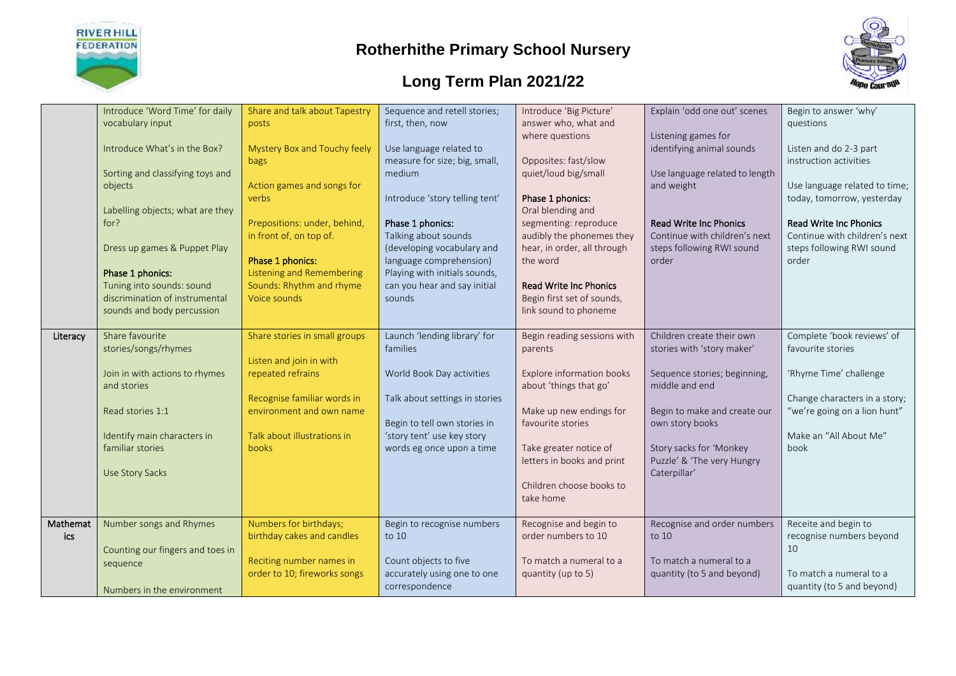



|          | Introduce 'Word Time' for daily  | Share and talk about Tapestry | Sequence and retell stories;   | Introduce 'Big Picture'       | Explain 'odd one out' scenes   | Begin to answer 'why'         |
|----------|----------------------------------|-------------------------------|--------------------------------|-------------------------------|--------------------------------|-------------------------------|
|          | vocabulary input                 | posts                         | first, then, now               | answer who, what and          |                                | questions                     |
|          |                                  |                               |                                | where questions               | Listening games for            |                               |
|          | Introduce What's in the Box?     | Mystery Box and Touchy feely  | Use language related to        |                               | identifying animal sounds      | Listen and do 2-3 part        |
|          |                                  | bags                          | measure for size; big, small,  | Opposites: fast/slow          |                                | instruction activities        |
|          | Sorting and classifying toys and |                               | medium                         | quiet/loud big/small          | Use language related to length |                               |
|          | objects                          | Action games and songs for    |                                |                               | and weight                     | Use language related to time; |
|          |                                  | verbs                         | Introduce 'story telling tent' | Phase 1 phonics:              |                                | today, tomorrow, yesterday    |
|          | Labelling objects; what are they |                               |                                | Oral blending and             |                                |                               |
|          | for?                             | Prepositions: under, behind,  | Phase 1 phonics:               | segmenting: reproduce         | <b>Read Write Inc Phonics</b>  | <b>Read Write Inc Phonics</b> |
|          |                                  | in front of, on top of.       | Talking about sounds           | audibly the phonemes they     | Continue with children's next  | Continue with children's next |
|          | Dress up games & Puppet Play     |                               | (developing vocabulary and     | hear, in order, all through   | steps following RWI sound      | steps following RWI sound     |
|          |                                  | Phase 1 phonics:              | language comprehension)        | the word                      | order                          | order                         |
|          | Phase 1 phonics:                 | Listening and Remembering     | Playing with initials sounds,  |                               |                                |                               |
|          | Tuning into sounds: sound        | Sounds: Rhythm and rhyme      | can you hear and say initial   | <b>Read Write Inc Phonics</b> |                                |                               |
|          | discrimination of instrumental   | Voice sounds                  | sounds                         | Begin first set of sounds,    |                                |                               |
|          | sounds and body percussion       |                               |                                | link sound to phoneme         |                                |                               |
|          |                                  |                               |                                |                               |                                |                               |
| Literacy | Share favourite                  | Share stories in small groups | Launch 'lending library' for   | Begin reading sessions with   | Children create their own      | Complete 'book reviews' of    |
|          | stories/songs/rhymes             |                               | families                       | parents                       | stories with 'story maker'     | favourite stories             |
|          |                                  | Listen and join in with       |                                |                               |                                |                               |
|          | Join in with actions to rhymes   | repeated refrains             | World Book Day activities      | Explore information books     | Sequence stories; beginning,   | 'Rhyme Time' challenge        |
|          | and stories                      |                               |                                | about 'things that go'        | middle and end                 |                               |
|          |                                  | Recognise familiar words in   | Talk about settings in stories |                               |                                | Change characters in a story; |
|          | Read stories 1:1                 | environment and own name      |                                | Make up new endings for       | Begin to make and create our   | "we're going on a lion hunt"  |
|          |                                  |                               | Begin to tell own stories in   | favourite stories             | own story books                |                               |
|          | Identify main characters in      | Talk about illustrations in   | 'story tent' use key story     |                               |                                | Make an "All About Me"        |
|          | familiar stories                 | books                         | words eg once upon a time      | Take greater notice of        | Story sacks for 'Monkey        | book                          |
|          |                                  |                               |                                | letters in books and print    | Puzzle' & 'The very Hungry     |                               |
|          | Use Story Sacks                  |                               |                                |                               | Caterpillar'                   |                               |
|          |                                  |                               |                                | Children choose books to      |                                |                               |
|          |                                  |                               |                                | take home                     |                                |                               |
|          |                                  |                               |                                |                               |                                |                               |
| Mathemat | Number songs and Rhymes          | Numbers for birthdays;        | Begin to recognise numbers     | Recognise and begin to        | Recognise and order numbers    | Receite and begin to          |
| ics      |                                  | birthday cakes and candles    | to 10                          | order numbers to 10           | to 10                          | recognise numbers beyond      |
|          | Counting our fingers and toes in |                               |                                |                               |                                | 10                            |
|          | sequence                         | Reciting number names in      | Count objects to five          | To match a numeral to a       | To match a numeral to a        |                               |
|          |                                  | order to 10; fireworks songs  | accurately using one to one    | quantity (up to 5)            | quantity (to 5 and beyond)     | To match a numeral to a       |
|          | Numbers in the environment       |                               | correspondence                 |                               |                                | quantity (to 5 and beyond)    |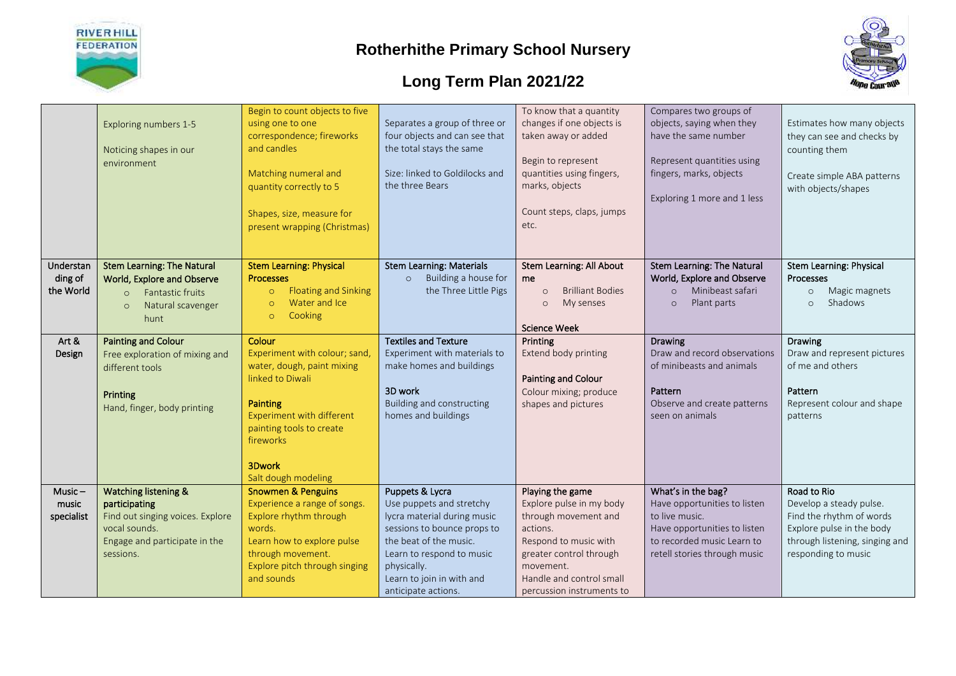



|            | Exploring numbers 1-5<br>Noticing shapes in our<br>environment | Begin to count objects to five<br>using one to one<br>correspondence; fireworks<br>and candles<br>Matching numeral and<br>quantity correctly to 5<br>Shapes, size, measure for<br>present wrapping (Christmas) | Separates a group of three or<br>four objects and can see that<br>the total stays the same<br>Size: linked to Goldilocks and<br>the three Bears | To know that a quantity<br>changes if one objects is<br>taken away or added<br>Begin to represent<br>quantities using fingers,<br>marks, objects<br>Count steps, claps, jumps<br>etc. | Compares two groups of<br>objects, saying when they<br>have the same number<br>Represent quantities using<br>fingers, marks, objects<br>Exploring 1 more and 1 less | Estimates how many objects<br>they can see and checks by<br>counting them<br>Create simple ABA patterns<br>with objects/shapes |
|------------|----------------------------------------------------------------|----------------------------------------------------------------------------------------------------------------------------------------------------------------------------------------------------------------|-------------------------------------------------------------------------------------------------------------------------------------------------|---------------------------------------------------------------------------------------------------------------------------------------------------------------------------------------|---------------------------------------------------------------------------------------------------------------------------------------------------------------------|--------------------------------------------------------------------------------------------------------------------------------|
| Understan  | <b>Stem Learning: The Natural</b>                              | <b>Stem Learning: Physical</b>                                                                                                                                                                                 | <b>Stem Learning: Materials</b>                                                                                                                 | Stem Learning: All About                                                                                                                                                              | <b>Stem Learning: The Natural</b>                                                                                                                                   | Stem Learning: Physical                                                                                                        |
| ding of    | World, Explore and Observe                                     | <b>Processes</b>                                                                                                                                                                                               | Building a house for<br>$\circ$                                                                                                                 | me                                                                                                                                                                                    | World, Explore and Observe                                                                                                                                          | <b>Processes</b>                                                                                                               |
| the World  | Fantastic fruits<br>$\Omega$                                   | <b>Floating and Sinking</b><br>$\circ$                                                                                                                                                                         | the Three Little Pigs                                                                                                                           | <b>Brilliant Bodies</b><br>$\Omega$                                                                                                                                                   | Minibeast safari<br>$\circ$                                                                                                                                         | Magic magnets<br>$\circ$                                                                                                       |
|            | Natural scavenger<br>$\circ$                                   | Water and Ice<br>$\Omega$                                                                                                                                                                                      |                                                                                                                                                 | My senses<br>$\circ$                                                                                                                                                                  | Plant parts<br>$\circ$                                                                                                                                              | Shadows<br>$\circ$                                                                                                             |
|            | hunt                                                           | Cooking<br>$\circ$                                                                                                                                                                                             |                                                                                                                                                 |                                                                                                                                                                                       |                                                                                                                                                                     |                                                                                                                                |
|            |                                                                |                                                                                                                                                                                                                |                                                                                                                                                 | <b>Science Week</b>                                                                                                                                                                   |                                                                                                                                                                     |                                                                                                                                |
| Art &      | <b>Painting and Colour</b>                                     | Colour                                                                                                                                                                                                         | <b>Textiles and Texture</b>                                                                                                                     | Printing                                                                                                                                                                              | <b>Drawing</b>                                                                                                                                                      | <b>Drawing</b>                                                                                                                 |
| Design     | Free exploration of mixing and                                 | Experiment with colour; sand,                                                                                                                                                                                  | Experiment with materials to                                                                                                                    | Extend body printing                                                                                                                                                                  | Draw and record observations                                                                                                                                        | Draw and represent pictures                                                                                                    |
|            | different tools                                                | water, dough, paint mixing                                                                                                                                                                                     | make homes and buildings                                                                                                                        |                                                                                                                                                                                       | of minibeasts and animals                                                                                                                                           | of me and others                                                                                                               |
|            |                                                                | linked to Diwali                                                                                                                                                                                               |                                                                                                                                                 | <b>Painting and Colour</b>                                                                                                                                                            |                                                                                                                                                                     |                                                                                                                                |
|            | Printing                                                       |                                                                                                                                                                                                                | 3D work                                                                                                                                         | Colour mixing; produce                                                                                                                                                                | Pattern                                                                                                                                                             | Pattern                                                                                                                        |
|            | Hand, finger, body printing                                    | <b>Painting</b>                                                                                                                                                                                                | Building and constructing                                                                                                                       | shapes and pictures                                                                                                                                                                   | Observe and create patterns                                                                                                                                         | Represent colour and shape                                                                                                     |
|            |                                                                | <b>Experiment with different</b>                                                                                                                                                                               | homes and buildings                                                                                                                             |                                                                                                                                                                                       | seen on animals                                                                                                                                                     | patterns                                                                                                                       |
|            |                                                                | painting tools to create                                                                                                                                                                                       |                                                                                                                                                 |                                                                                                                                                                                       |                                                                                                                                                                     |                                                                                                                                |
|            |                                                                | fireworks                                                                                                                                                                                                      |                                                                                                                                                 |                                                                                                                                                                                       |                                                                                                                                                                     |                                                                                                                                |
|            |                                                                |                                                                                                                                                                                                                |                                                                                                                                                 |                                                                                                                                                                                       |                                                                                                                                                                     |                                                                                                                                |
|            |                                                                | 3Dwork                                                                                                                                                                                                         |                                                                                                                                                 |                                                                                                                                                                                       |                                                                                                                                                                     |                                                                                                                                |
|            |                                                                | Salt dough modeling                                                                                                                                                                                            |                                                                                                                                                 |                                                                                                                                                                                       |                                                                                                                                                                     |                                                                                                                                |
| $Music -$  | Watching listening &                                           | <b>Snowmen &amp; Penguins</b>                                                                                                                                                                                  | Puppets & Lycra                                                                                                                                 | Playing the game                                                                                                                                                                      | What's in the bag?                                                                                                                                                  | Road to Rio                                                                                                                    |
| music      | participating                                                  | Experience a range of songs.                                                                                                                                                                                   | Use puppets and stretchy                                                                                                                        | Explore pulse in my body                                                                                                                                                              | Have opportunities to listen                                                                                                                                        | Develop a steady pulse.                                                                                                        |
| specialist | Find out singing voices. Explore                               | Explore rhythm through                                                                                                                                                                                         | lycra material during music                                                                                                                     | through movement and                                                                                                                                                                  | to live music.                                                                                                                                                      | Find the rhythm of words                                                                                                       |
|            | vocal sounds.                                                  | words.                                                                                                                                                                                                         | sessions to bounce props to                                                                                                                     | actions.                                                                                                                                                                              | Have opportunities to listen                                                                                                                                        | Explore pulse in the body                                                                                                      |
|            | Engage and participate in the                                  | Learn how to explore pulse                                                                                                                                                                                     | the beat of the music.                                                                                                                          | Respond to music with                                                                                                                                                                 | to recorded music Learn to                                                                                                                                          | through listening, singing and                                                                                                 |
|            | sessions.                                                      | through movement.                                                                                                                                                                                              | Learn to respond to music                                                                                                                       | greater control through                                                                                                                                                               | retell stories through music                                                                                                                                        | responding to music                                                                                                            |
|            |                                                                | Explore pitch through singing                                                                                                                                                                                  | physically.                                                                                                                                     | movement.<br>Handle and control small                                                                                                                                                 |                                                                                                                                                                     |                                                                                                                                |
|            |                                                                | and sounds                                                                                                                                                                                                     | Learn to join in with and                                                                                                                       |                                                                                                                                                                                       |                                                                                                                                                                     |                                                                                                                                |
|            |                                                                |                                                                                                                                                                                                                | anticipate actions.                                                                                                                             | percussion instruments to                                                                                                                                                             |                                                                                                                                                                     |                                                                                                                                |